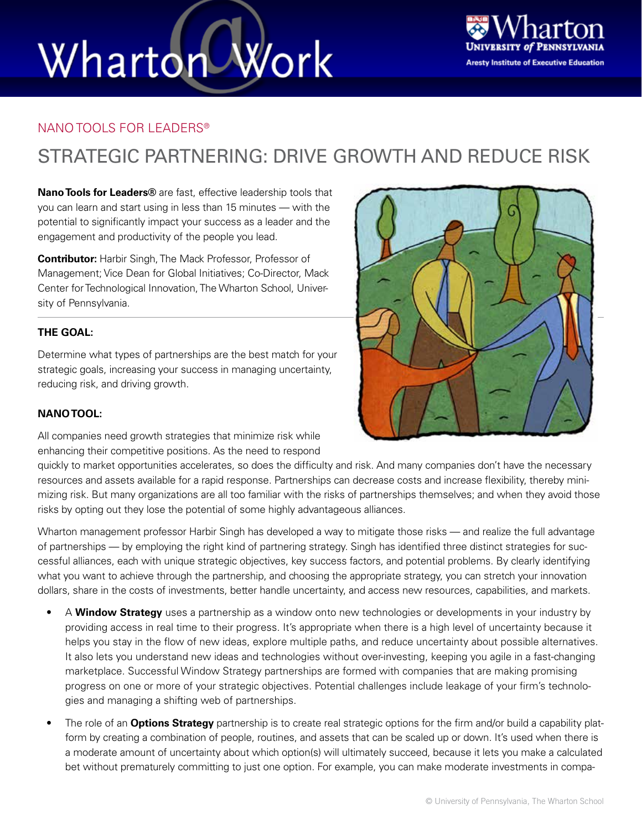# Wharton Work



#### NANO TOOLS FOR LEADERS®

### STRATEGIC PARTNERING: DRIVE GROWTH AND REDUCE RISK

**Nano Tools for Leaders®** are fast, effective leadership tools that you can learn and start using in less than 15 minutes — with the potential to significantly impact your success as a leader and the engagement and productivity of the people you lead.

**Contributor:** Harbir Singh, The Mack Professor, Professor of Management; Vice Dean for Global Initiatives; Co-Director, Mack Center for Technological Innovation, The Wharton School, University of Pennsylvania.

#### **THE GOAL:**

Determine what types of partnerships are the best match for your strategic goals, increasing your success in managing uncertainty, reducing risk, and driving growth.

#### **NANO TOOL:**

All companies need growth strategies that minimize risk while enhancing their competitive positions. As the need to respond

quickly to market opportunities accelerates, so does the difficulty and risk. And many companies don't have the necessary resources and assets available for a rapid response. Partnerships can decrease costs and increase flexibility, thereby minimizing risk. But many organizations are all too familiar with the risks of partnerships themselves; and when they avoid those risks by opting out they lose the potential of some highly advantageous alliances.

Wharton management professor Harbir Singh has developed a way to mitigate those risks — and realize the full advantage of partnerships — by employing the right kind of partnering strategy. Singh has identified three distinct strategies for successful alliances, each with unique strategic objectives, key success factors, and potential problems. By clearly identifying what you want to achieve through the partnership, and choosing the appropriate strategy, you can stretch your innovation dollars, share in the costs of investments, better handle uncertainty, and access new resources, capabilities, and markets.

- A **Window Strategy** uses a partnership as a window onto new technologies or developments in your industry by providing access in real time to their progress. It's appropriate when there is a high level of uncertainty because it helps you stay in the flow of new ideas, explore multiple paths, and reduce uncertainty about possible alternatives. It also lets you understand new ideas and technologies without over-investing, keeping you agile in a fast-changing marketplace. Successful Window Strategy partnerships are formed with companies that are making promising progress on one or more of your strategic objectives. Potential challenges include leakage of your firm's technologies and managing a shifting web of partnerships.
- The role of an **Options Strategy** partnership is to create real strategic options for the firm and/or build a capability platform by creating a combination of people, routines, and assets that can be scaled up or down. It's used when there is a moderate amount of uncertainty about which option(s) will ultimately succeed, because it lets you make a calculated bet without prematurely committing to just one option. For example, you can make moderate investments in compa-

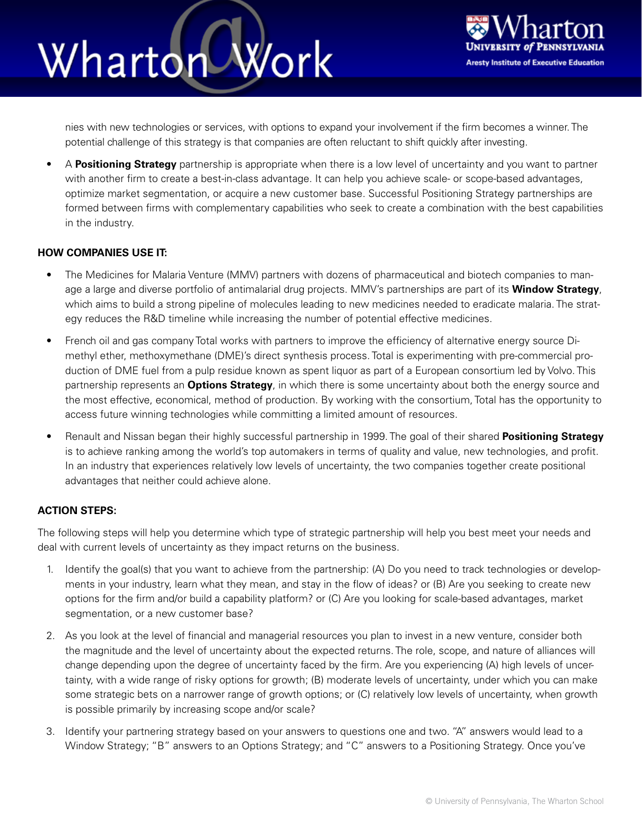## Wharton Work



nies with new technologies or services, with options to expand your involvement if the firm becomes a winner. The potential challenge of this strategy is that companies are often reluctant to shift quickly after investing.

• A **Positioning Strategy** partnership is appropriate when there is a low level of uncertainty and you want to partner with another firm to create a best-in-class advantage. It can help you achieve scale- or scope-based advantages, optimize market segmentation, or acquire a new customer base. Successful Positioning Strategy partnerships are formed between firms with complementary capabilities who seek to create a combination with the best capabilities in the industry.

#### **HOW COMPANIES USE IT:**

- The Medicines for Malaria Venture (MMV) partners with dozens of pharmaceutical and biotech companies to manage a large and diverse portfolio of antimalarial drug projects. MMV's partnerships are part of its **Window Strategy**, which aims to build a strong pipeline of molecules leading to new medicines needed to eradicate malaria. The strategy reduces the R&D timeline while increasing the number of potential effective medicines.
- French oil and gas company Total works with partners to improve the efficiency of alternative energy source Dimethyl ether, methoxymethane (DME)'s direct synthesis process. Total is experimenting with pre-commercial production of DME fuel from a pulp residue known as spent liquor as part of a European consortium led by Volvo. This partnership represents an **Options Strategy**, in which there is some uncertainty about both the energy source and the most effective, economical, method of production. By working with the consortium, Total has the opportunity to access future winning technologies while committing a limited amount of resources.
- Renault and Nissan began their highly successful partnership in 1999. The goal of their shared **Positioning Strategy**  is to achieve ranking among the world's top automakers in terms of quality and value, new technologies, and profit. In an industry that experiences relatively low levels of uncertainty, the two companies together create positional advantages that neither could achieve alone.

#### **ACTION STEPS:**

The following steps will help you determine which type of strategic partnership will help you best meet your needs and deal with current levels of uncertainty as they impact returns on the business.

- 1. Identify the goal(s) that you want to achieve from the partnership: (A) Do you need to track technologies or developments in your industry, learn what they mean, and stay in the flow of ideas? or (B) Are you seeking to create new options for the firm and/or build a capability platform? or (C) Are you looking for scale-based advantages, market segmentation, or a new customer base?
- 2. As you look at the level of financial and managerial resources you plan to invest in a new venture, consider both the magnitude and the level of uncertainty about the expected returns. The role, scope, and nature of alliances will change depending upon the degree of uncertainty faced by the firm. Are you experiencing (A) high levels of uncertainty, with a wide range of risky options for growth; (B) moderate levels of uncertainty, under which you can make some strategic bets on a narrower range of growth options; or (C) relatively low levels of uncertainty, when growth is possible primarily by increasing scope and/or scale?
- 3. Identify your partnering strategy based on your answers to questions one and two. "A" answers would lead to a Window Strategy; "B" answers to an Options Strategy; and "C" answers to a Positioning Strategy. Once you've